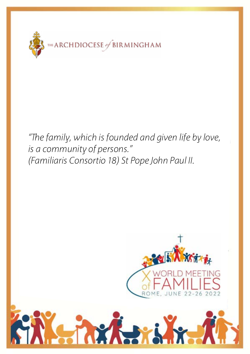

Dear Clergy, *is a community of persons." "The family, which is founded and given life by love, (Familiaris Consortio 18) St Pope John Paul II.*

ri

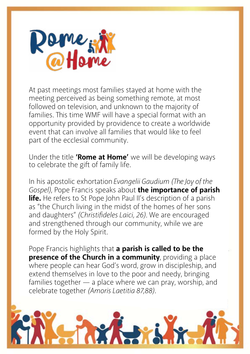

At past meetings most families stayed at home with the meeting perceived as being something remote, at most followed on television, and unknown to the majority of families. This time WMF will have a special format with an opportunity provided by providence to create a worldwide event that can involve all families that would like to feel part of the ecclesial community.

Under the title **'Rome at Home'** we will be developing ways to celebrate the gift of family life.

In his apostolic exhortation*Evangelii Gaudium (The Joy of the Gospel)*, Pope Francis speaks about **the importance of parish life.** He refers to St Pope John Paul II's description of a parish as "the Church living in the midst of the homes of her sons and daughters" *(Christifideles Laici, 26)*. We are encouraged and strengthened through our community, while we are formed by the Holy Spirit.

Pope Francis highlights that **a parish is called to be the presence of the Church in a community**, providing a place where people can hear God's word, grow in discipleship, and extend themselves in love to the poor and needy, bringing families together — a place where we can pray, worship, and celebrate together *(Amoris Laetitia 87,88)*.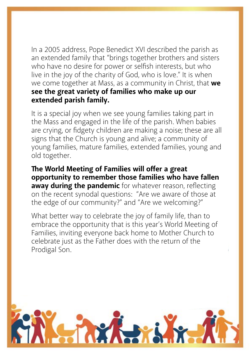In a 2005 address, Pope Benedict XVI described the parish as an extended family that "brings together brothers and sisters who have no desire for power or selfish interests, but who live in the joy of the charity of God, who is love." It is when we come together at Mass, as a community in Christ, that **we see the great variety of families who make up our extended parish family.**

It is a special joy when we see young families taking part in the Mass and engaged in the life of the parish. When babies are crying, or fidgety children are making a noise; these are all signs that the Church is young and alive; a community of young families, mature families, extended families, young and old together.

**The World Meeting of Families will offer a great opportunity to remember those families who have fallen away during the pandemic** for whatever reason, reflecting on the recent synodal questions: "Are we aware of those at the edge of our community?" and "Are we welcoming?"

What better way to celebrate the joy of family life, than to embrace the opportunity that is this year's World Meeting of Families, inviting everyone back home to Mother Church to celebrate just as the Father does with the return of the Prodigal Son.

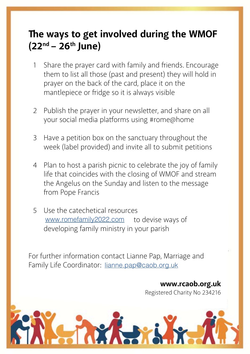## **The ways to get involved during the WMOF (22nd – 26th June)**

- 1 Share the prayer card with family and friends. Encourage them to list all those (past and present) they will hold in prayer on the back of the card, place it on the mantlepiece or fridge so it is always visible
- 2 Publish the prayer in your newsletter, and share on all your social media platforms using #rome@home
- 3 Have a petition box on the sanctuary throughout the week (label provided) and invite all to submit petitions
- 4 Plan to host a parish picnic to celebrate the joy of family life that coincides with the closing of WMOF and stream the Angelus on the Sunday and listen to the message from Pope Francis
- 5 Use the catechetical resources www.romefamily2022.com to devise ways of developing family ministry in your parish

For further information contact Lianne Pap, Marriage and Family Life Coordinator: lianne.pap@caob.org.uk

> **www.rcaob.org.uk** Registered Charity No 234216

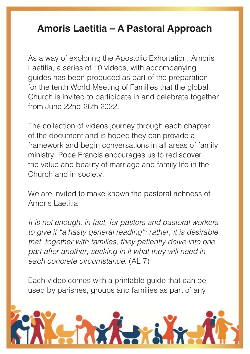## The **Lating of deviation of WAMP Amoris Laetitia – A Pastoral Approach**

Laetitia, a series of 10 videos, with accompanying guides has been produced as part of the preparation provide the back of the cardinal of the cardinal contribution of the cardinal contribution of the cardinal contribution of the cardinal contribution of the cardinal contribution of the cardinal contribution of the cardinal mantlepiece is in the manufacture of the individual solid in the individual solid solid in and color 2 Published the prayer in your newsletter, and share on all the property of the share on all the share on all the share on all the share on all the share on all the share on all the share on all the share on all the share As a way of exploring the Apostolic Exhortation, Amoris for the tenth World Meeting of Families that the global Church is invited to participate in and celebrate together from June 22nd-26th 2022.

your social media platforms using #rome@home of the document and is hoped they can provide a framework and begin conversations in all areas of family the value and beauty of marriage and family life in the Church and in society. The coincides with the control of WMOF and streams of WMOF and streams of WMOF and stre The collection of videos journey through each chapter ministry. Pope Francis encourages us to rediscover

We are invited to make known the pastoral richness of Amoris Laetitia:

It is not enough, in fact, for pastors and pastoral workers developing family ministers in the family of the set of the set of the set of the set of the set of the set of <br>In your part of the set of the set of the set of the set of the set of the set of the set of the set of the se part and another, secting in it what they will need in Fach concrete circumstance. (ALT) *to give it "a hasty general reading": rather, it is desirable that, together with families, they patiently delve into one part after another, seeking in it what they will need in each concrete circumstance.* (AL 7)

Each video comes with a printable guide that can be used by parishes, groups and families as part of any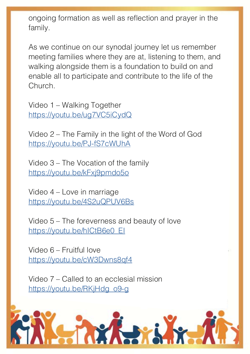The way is get involved during the WMOFF was designed to get in the WMOFF was designed to get in the WMOFF was designed to the WMOFF was designed to the WMOFF was designed to the WMOFF was designed to the WMOFF was designe ongoing formation as well as reflection and prayer in the family.

As we continue on our synodal journey let us remember walking alongside them is a foundation to build on and enable all to participate and contribute to the life of the  $\mathsf{rch}_{\mathsf{r}}$ meeting families where they are at, listening to them, and Church.

2 Publish the product of prayer in the product of the product of the product of the product of the product of  $\sim$ your social media platforms using the roman platforms using the roman platforms using the roman platforms of  $\frac{1}{2}$ Video 1 – Walking Together [https://youtu.be/ug7VC5iCydQ](https://youtu.be/ug7VC5iCydQ )

 $\frac{3}{4}$  Highanily in the light of the sydia of God <u>[https://youtu.be/PJ-fS7cWUhA](https://youtu.be/PJ-fS7cWUhA )</u> Video 2 – The Family in the light of the Word of God

Video 3 – The Vocation of the family [https://youtu.be/kFxj9pmdo5o](https://youtu.be/kFxj9pmdo5o )

Video 4 – Love in marriage [https://youtu.be/4S2uQPUV6Bs](https://youtu.be/4S2uQPUV6Bs )

Video 5 – The foreverness and beauty of love [https://youtu.be/hICtB6e0\\_EI](https://youtu.be/hICtB6e0_EI )

For function contact Lianguage and Contact Lianguage and Marriage and Marriage and Marriage and Marriage and M<br>Here is a contact Lian of the Lian number of the University Presented Archives and Marriage and Marriage and M Family Catalog Crisb Miloseph Video 6 – Fruitful love [https://youtu.be/cW3Dwns8qf4](https://youtu.be/cW3Dwns8qf4 )

**www.rcaob.org.uk** Video 7 – Called to an ecclesial mission [https://youtu.be/RKjHdg\\_o9-g](https://youtu.be/RKjHdg_o9-g )

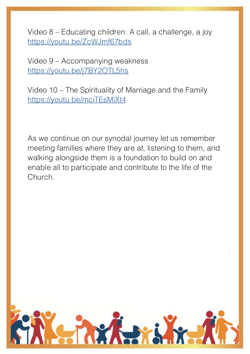Video 8 – Educating children: A call, a challenge, a joy **(22nd – 26th June)** [https://youtu.be/ZcWJmf67bds](https://youtu.be/ZcWJmf67bds )

 $1000$  S  $\sim$  Accompanying weakness.  $t$ ,  $t$  yould be given by a set all those equal to the set of  $p$ Video 9 – Accompanying weakness [https://youtu.be/j7BY2OTL5hs](https://youtu.be/j7BY2OTL5hs )

prayer on the back of the card, place it on the Video 10 – The Spirituality of Marriage and the Family [https://youtu.be/mciTEsMiXt4](https://youtu.be/mciTEsMiXt4 )

As we continue on our synodal journey let us remember meeting families where they are at, listening to them, and enable all to participate and contribute to the life of the  $\mathcal{L}$  that coincides with the coincides with the coincides with the coincides  $\mathcal{L}$ walking alongside them is a foundation to build on and Church.

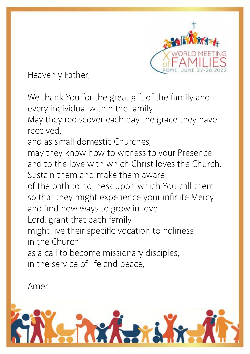

Heavenly Father,

We thank You for the great gift of the family and every individual within the family.

May they rediscover each day the grace they have received,

and as small domestic Churches,

may they know how to witness to your Presence and to the love with which Christ loves the Church. Sustain them and make them aware

of the path to holiness upon which You call them, so that they might experience your infinite Mercy and find new ways to grow in love.

Lord, grant that each family

might live their specific vocation to holiness in the Church

as a call to become missionary disciples,

in the service of life and peace,

Amen

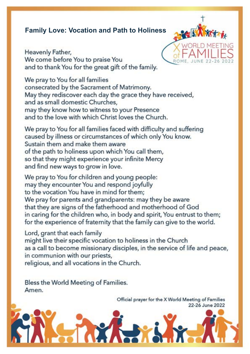## **Family Love: Vocation and Path to Holiness**

Heavenly Father, We come before You to praise You and to thank You for the great gift of the family.



We pray to You for all families consecrated by the Sacrament of Matrimony. May they rediscover each day the grace they have received, and as small domestic Churches, may they know how to witness to your Presence and to the love with which Christ loves the Church.

We pray to You for all families faced with difficulty and suffering caused by illness or circumstances of which only You know. Sustain them and make them aware of the path to holiness upon which You call them, so that they might experience your infinite Mercy and find new ways to grow in love.

We pray to You for children and young people: may they encounter You and respond joyfully to the vocation You have in mind for them; We pray for parents and grandparents: may they be aware that they are signs of the fatherhood and motherhood of God in caring for the children who, in body and spirit, You entrust to them; for the experience of fraternity that the family can give to the world.

Lord, grant that each family

might live their specific vocation to holiness in the Church as a call to become missionary disciples, in the service of life and peace, in communion with our priests,

religious, and all vocations in the Church.

Bless the World Meeting of Families. Amen.

> Official prayer for the X World Meeting of Families 22-26 June 2022